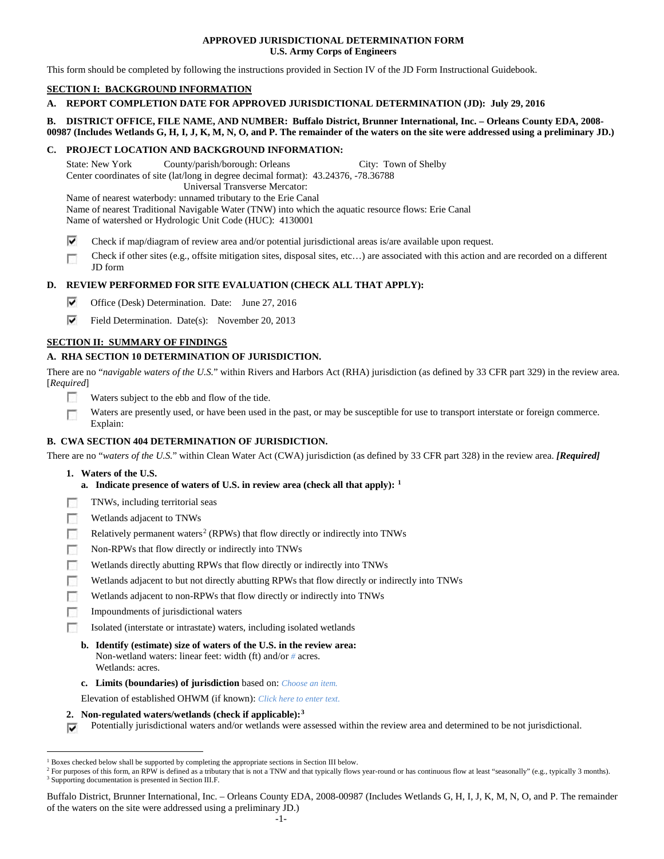#### **APPROVED JURISDICTIONAL DETERMINATION FORM U.S. Army Corps of Engineers**

This form should be completed by following the instructions provided in Section IV of the JD Form Instructional Guidebook.

## **SECTION I: BACKGROUND INFORMATION**

## **A. REPORT COMPLETION DATE FOR APPROVED JURISDICTIONAL DETERMINATION (JD): July 29, 2016**

#### **B. DISTRICT OFFICE, FILE NAME, AND NUMBER: Buffalo District, Brunner International, Inc. – Orleans County EDA, 2008- 00987 (Includes Wetlands G, H, I, J, K, M, N, O, and P. The remainder of the waters on the site were addressed using a preliminary JD.)**

#### **C. PROJECT LOCATION AND BACKGROUND INFORMATION:**

State: New York County/parish/borough: Orleans City: Town of Shelby Center coordinates of site (lat/long in degree decimal format): 43.24376, -78.36788 Universal Transverse Mercator: Name of nearest waterbody: unnamed tributary to the Erie Canal Name of nearest Traditional Navigable Water (TNW) into which the aquatic resource flows: Erie Canal

Name of watershed or Hydrologic Unit Code (HUC): 4130001

- ⊽ Check if map/diagram of review area and/or potential jurisdictional areas is/are available upon request.
- Check if other sites (e.g., offsite mitigation sites, disposal sites, etc…) are associated with this action and are recorded on a different Г JD form

## **D. REVIEW PERFORMED FOR SITE EVALUATION (CHECK ALL THAT APPLY):**

- ⊽ Office (Desk) Determination. Date: June 27, 2016
- ⊽ Field Determination. Date(s): November 20, 2013

#### **SECTION II: SUMMARY OF FINDINGS**

# **A. RHA SECTION 10 DETERMINATION OF JURISDICTION.**

There are no "*navigable waters of the U.S.*" within Rivers and Harbors Act (RHA) jurisdiction (as defined by 33 CFR part 329) in the review area. [*Required*]

- **IST** Waters subject to the ebb and flow of the tide.
- Waters are presently used, or have been used in the past, or may be susceptible for use to transport interstate or foreign commerce. Г Explain:

#### **B. CWA SECTION 404 DETERMINATION OF JURISDICTION.**

There are no "*waters of the U.S.*" within Clean Water Act (CWA) jurisdiction (as defined by 33 CFR part 328) in the review area. *[Required]*

- **1. Waters of the U.S.**
	- **a. Indicate presence of waters of U.S. in review area (check all that apply): [1](#page-0-0)**
- п TNWs, including territorial seas
- Wetlands adjacent to TNWs п
- Relatively permanent waters<sup>[2](#page-0-1)</sup> (RPWs) that flow directly or indirectly into TNWs n
- п Non-RPWs that flow directly or indirectly into TNWs
- Wetlands directly abutting RPWs that flow directly or indirectly into TNWs п
- г Wetlands adjacent to but not directly abutting RPWs that flow directly or indirectly into TNWs
- г Wetlands adjacent to non-RPWs that flow directly or indirectly into TNWs
- n Impoundments of jurisdictional waters
- Isolated (interstate or intrastate) waters, including isolated wetlands n.
	- **b. Identify (estimate) size of waters of the U.S. in the review area:** Non-wetland waters: linear feet: width (ft) and/or *#* acres. Wetlands: acres.
	- **c. Limits (boundaries) of jurisdiction** based on: *Choose an item.*

Elevation of established OHWM (if known): *Click here to enter text.*

- **2. Non-regulated waters/wetlands (check if applicable):[3](#page-0-2)**
- ⊽ Potentially jurisdictional waters and/or wetlands were assessed within the review area and determined to be not jurisdictional.

<span id="page-0-0"></span><sup>&</sup>lt;sup>1</sup> Boxes checked below shall be supported by completing the appropriate sections in Section III below.

<span id="page-0-2"></span><span id="page-0-1"></span><sup>&</sup>lt;sup>2</sup> For purposes of this form, an RPW is defined as a tributary that is not a TNW and that typically flows year-round or has continuous flow at least "seasonally" (e.g., typically 3 months). <sup>3</sup> Supporting documentation is presented in Section III.F.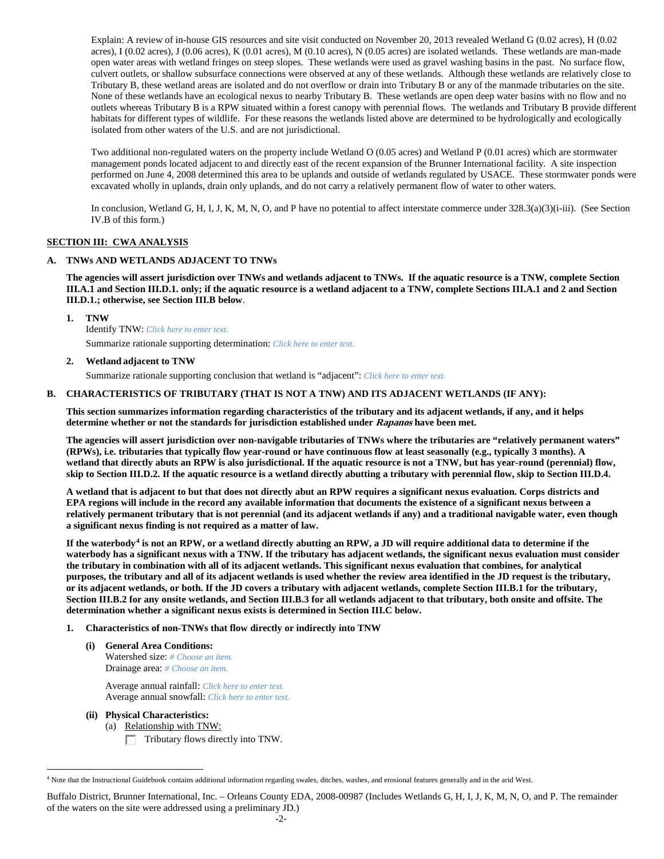Explain: A review of in-house GIS resources and site visit conducted on November 20, 2013 revealed Wetland G (0.02 acres), H (0.02 acres), I (0.02 acres), J (0.06 acres), K (0.01 acres), M (0.10 acres), N (0.05 acres) are isolated wetlands. These wetlands are man-made open water areas with wetland fringes on steep slopes. These wetlands were used as gravel washing basins in the past. No surface flow, culvert outlets, or shallow subsurface connections were observed at any of these wetlands. Although these wetlands are relatively close to Tributary B, these wetland areas are isolated and do not overflow or drain into Tributary B or any of the manmade tributaries on the site. None of these wetlands have an ecological nexus to nearby Tributary B. These wetlands are open deep water basins with no flow and no outlets whereas Tributary B is a RPW situated within a forest canopy with perennial flows. The wetlands and Tributary B provide different habitats for different types of wildlife. For these reasons the wetlands listed above are determined to be hydrologically and ecologically isolated from other waters of the U.S. and are not jurisdictional.

Two additional non-regulated waters on the property include Wetland O (0.05 acres) and Wetland P (0.01 acres) which are stormwater management ponds located adjacent to and directly east of the recent expansion of the Brunner International facility. A site inspection performed on June 4, 2008 determined this area to be uplands and outside of wetlands regulated by USACE. These stormwater ponds were excavated wholly in uplands, drain only uplands, and do not carry a relatively permanent flow of water to other waters.

In conclusion, Wetland G, H, I, J, K, M, N, O, and P have no potential to affect interstate commerce under 328.3(a)(3)(i-iii). (See Section IV.B of this form.)

### **SECTION III: CWA ANALYSIS**

### **A. TNWs AND WETLANDS ADJACENT TO TNWs**

**The agencies will assert jurisdiction over TNWs and wetlands adjacent to TNWs. If the aquatic resource is a TNW, complete Section III.A.1 and Section III.D.1. only; if the aquatic resource is a wetland adjacent to a TNW, complete Sections III.A.1 and 2 and Section III.D.1.; otherwise, see Section III.B below**.

**1. TNW** 

Identify TNW: *Click here to enter text.*

Summarize rationale supporting determination: *Click here to enter text.*

#### **2. Wetland adjacent to TNW**

Summarize rationale supporting conclusion that wetland is "adjacent": *Click here to enter text.*

#### **B. CHARACTERISTICS OF TRIBUTARY (THAT IS NOT A TNW) AND ITS ADJACENT WETLANDS (IF ANY):**

**This section summarizes information regarding characteristics of the tributary and its adjacent wetlands, if any, and it helps determine whether or not the standards for jurisdiction established under Rapanos have been met.** 

**The agencies will assert jurisdiction over non-navigable tributaries of TNWs where the tributaries are "relatively permanent waters" (RPWs), i.e. tributaries that typically flow year-round or have continuous flow at least seasonally (e.g., typically 3 months). A wetland that directly abuts an RPW is also jurisdictional. If the aquatic resource is not a TNW, but has year-round (perennial) flow, skip to Section III.D.2. If the aquatic resource is a wetland directly abutting a tributary with perennial flow, skip to Section III.D.4.**

**A wetland that is adjacent to but that does not directly abut an RPW requires a significant nexus evaluation. Corps districts and EPA regions will include in the record any available information that documents the existence of a significant nexus between a relatively permanent tributary that is not perennial (and its adjacent wetlands if any) and a traditional navigable water, even though a significant nexus finding is not required as a matter of law.**

**If the waterbody[4](#page-1-0) is not an RPW, or a wetland directly abutting an RPW, a JD will require additional data to determine if the waterbody has a significant nexus with a TNW. If the tributary has adjacent wetlands, the significant nexus evaluation must consider the tributary in combination with all of its adjacent wetlands. This significant nexus evaluation that combines, for analytical purposes, the tributary and all of its adjacent wetlands is used whether the review area identified in the JD request is the tributary, or its adjacent wetlands, or both. If the JD covers a tributary with adjacent wetlands, complete Section III.B.1 for the tributary, Section III.B.2 for any onsite wetlands, and Section III.B.3 for all wetlands adjacent to that tributary, both onsite and offsite. The determination whether a significant nexus exists is determined in Section III.C below.**

- **1. Characteristics of non-TNWs that flow directly or indirectly into TNW**
	- **(i) General Area Conditions:** Watershed size: *# Choose an item.* Drainage area: *# Choose an item.*

Average annual rainfall: *Click here to enter text.* Average annual snowfall: *Click here to enter text.*

- **(ii) Physical Characteristics:**
	- (a) Relationship with TNW:
		- Tributary flows directly into TNW.

<span id="page-1-0"></span> <sup>4</sup> Note that the Instructional Guidebook contains additional information regarding swales, ditches, washes, and erosional features generally and in the arid West.

Buffalo District, Brunner International, Inc. – Orleans County EDA, 2008-00987 (Includes Wetlands G, H, I, J, K, M, N, O, and P. The remainder of the waters on the site were addressed using a preliminary JD.)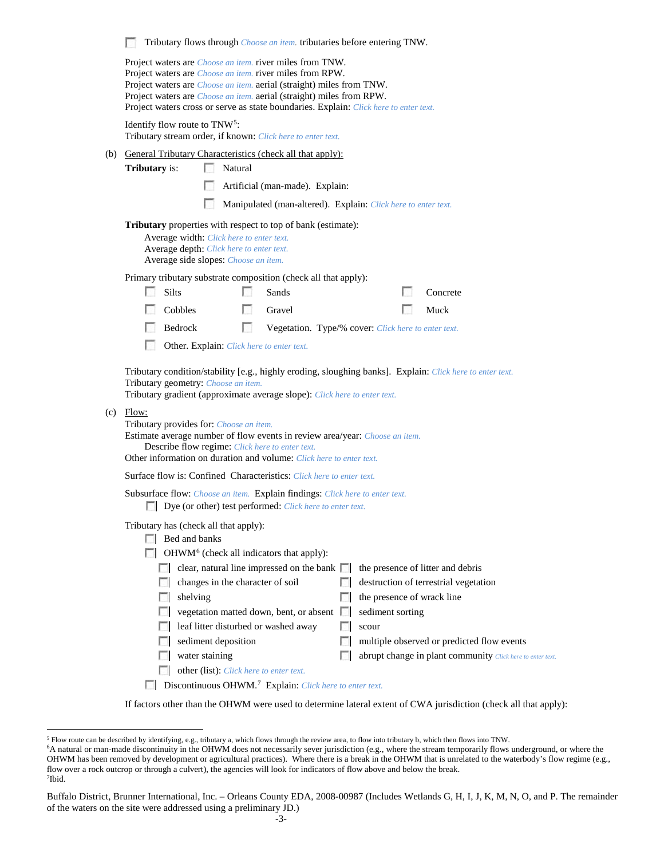|                                                                                                                                                                                                                                                                 | Tributary flows through <i>Choose an item</i> . tributaries before entering TNW.                                                                                                                                                                                                                                                                                                           |  |  |  |  |  |  |  |
|-----------------------------------------------------------------------------------------------------------------------------------------------------------------------------------------------------------------------------------------------------------------|--------------------------------------------------------------------------------------------------------------------------------------------------------------------------------------------------------------------------------------------------------------------------------------------------------------------------------------------------------------------------------------------|--|--|--|--|--|--|--|
|                                                                                                                                                                                                                                                                 | Project waters are <i>Choose an item.</i> river miles from TNW.<br>Project waters are <i>Choose an item</i> . river miles from RPW.<br>Project waters are <i>Choose an item.</i> aerial (straight) miles from TNW.<br>Project waters are <i>Choose an item.</i> aerial (straight) miles from RPW.<br>Project waters cross or serve as state boundaries. Explain: Click here to enter text. |  |  |  |  |  |  |  |
|                                                                                                                                                                                                                                                                 | Identify flow route to TNW <sup>5</sup> :<br>Tributary stream order, if known: Click here to enter text.                                                                                                                                                                                                                                                                                   |  |  |  |  |  |  |  |
| (b) General Tributary Characteristics (check all that apply):                                                                                                                                                                                                   |                                                                                                                                                                                                                                                                                                                                                                                            |  |  |  |  |  |  |  |
|                                                                                                                                                                                                                                                                 | <b>Tributary</b> is:<br>Natural                                                                                                                                                                                                                                                                                                                                                            |  |  |  |  |  |  |  |
|                                                                                                                                                                                                                                                                 | Artificial (man-made). Explain:                                                                                                                                                                                                                                                                                                                                                            |  |  |  |  |  |  |  |
|                                                                                                                                                                                                                                                                 | Manipulated (man-altered). Explain: Click here to enter text.                                                                                                                                                                                                                                                                                                                              |  |  |  |  |  |  |  |
|                                                                                                                                                                                                                                                                 | <b>Tributary</b> properties with respect to top of bank (estimate):<br>Average width: Click here to enter text.<br>Average depth: Click here to enter text.<br>Average side slopes: Choose an item.                                                                                                                                                                                        |  |  |  |  |  |  |  |
|                                                                                                                                                                                                                                                                 | Primary tributary substrate composition (check all that apply):                                                                                                                                                                                                                                                                                                                            |  |  |  |  |  |  |  |
|                                                                                                                                                                                                                                                                 | Silts<br>L.<br>Sands<br>Concrete                                                                                                                                                                                                                                                                                                                                                           |  |  |  |  |  |  |  |
|                                                                                                                                                                                                                                                                 | Cobbles<br>Gravel<br>Muck<br>L.                                                                                                                                                                                                                                                                                                                                                            |  |  |  |  |  |  |  |
|                                                                                                                                                                                                                                                                 | Bedrock<br>$\mathcal{L}$<br>Vegetation. Type/% cover: Click here to enter text.                                                                                                                                                                                                                                                                                                            |  |  |  |  |  |  |  |
|                                                                                                                                                                                                                                                                 | Other. Explain: Click here to enter text.                                                                                                                                                                                                                                                                                                                                                  |  |  |  |  |  |  |  |
|                                                                                                                                                                                                                                                                 | Tributary condition/stability [e.g., highly eroding, sloughing banks]. Explain: Click here to enter text.<br>Tributary geometry: Choose an item.<br>Tributary gradient (approximate average slope): Click here to enter text.                                                                                                                                                              |  |  |  |  |  |  |  |
| $(c)$ Flow:<br>Tributary provides for: Choose an item.<br>Estimate average number of flow events in review area/year: Choose an item.<br>Describe flow regime: Click here to enter text.<br>Other information on duration and volume: Click here to enter text. |                                                                                                                                                                                                                                                                                                                                                                                            |  |  |  |  |  |  |  |
|                                                                                                                                                                                                                                                                 | Surface flow is: Confined Characteristics: Click here to enter text.                                                                                                                                                                                                                                                                                                                       |  |  |  |  |  |  |  |
|                                                                                                                                                                                                                                                                 | Subsurface flow: Choose an item. Explain findings: Click here to enter text.<br>Dye (or other) test performed: Click here to enter text.                                                                                                                                                                                                                                                   |  |  |  |  |  |  |  |
| Tributary has (check all that apply):<br>Bed and banks<br>OHWM <sup>6</sup> (check all indicators that apply):                                                                                                                                                  |                                                                                                                                                                                                                                                                                                                                                                                            |  |  |  |  |  |  |  |
|                                                                                                                                                                                                                                                                 | clear, natural line impressed on the bank $\Box$<br>the presence of litter and debris<br>. .                                                                                                                                                                                                                                                                                               |  |  |  |  |  |  |  |
|                                                                                                                                                                                                                                                                 | changes in the character of soil<br>destruction of terrestrial vegetation                                                                                                                                                                                                                                                                                                                  |  |  |  |  |  |  |  |
|                                                                                                                                                                                                                                                                 | the presence of wrack line<br>shelving                                                                                                                                                                                                                                                                                                                                                     |  |  |  |  |  |  |  |
|                                                                                                                                                                                                                                                                 | sediment sorting<br>vegetation matted down, bent, or absent $\Box$                                                                                                                                                                                                                                                                                                                         |  |  |  |  |  |  |  |
|                                                                                                                                                                                                                                                                 | leaf litter disturbed or washed away<br>scour                                                                                                                                                                                                                                                                                                                                              |  |  |  |  |  |  |  |
|                                                                                                                                                                                                                                                                 | sediment deposition<br>multiple observed or predicted flow events<br>water staining                                                                                                                                                                                                                                                                                                        |  |  |  |  |  |  |  |
|                                                                                                                                                                                                                                                                 | abrupt change in plant community Click here to enter text.<br>other (list): Click here to enter text.                                                                                                                                                                                                                                                                                      |  |  |  |  |  |  |  |
|                                                                                                                                                                                                                                                                 | Discontinuous OHWM. <sup>7</sup> Explain: Click here to enter text.                                                                                                                                                                                                                                                                                                                        |  |  |  |  |  |  |  |
|                                                                                                                                                                                                                                                                 |                                                                                                                                                                                                                                                                                                                                                                                            |  |  |  |  |  |  |  |

If factors other than the OHWM were used to determine lateral extent of CWA jurisdiction (check all that apply):

<span id="page-2-0"></span> <sup>5</sup> Flow route can be described by identifying, e.g., tributary a, which flows through the review area, to flow into tributary b, which then flows into TNW.

<span id="page-2-1"></span><sup>6</sup> A natural or man-made discontinuity in the OHWM does not necessarily sever jurisdiction (e.g., where the stream temporarily flows underground, or where the OHWM has been removed by development or agricultural practices). Where there is a break in the OHWM that is unrelated to the waterbody's flow regime (e.g., flow over a rock outcrop or through a culvert), the agencies will look for indicators of flow above and below the break. 7 Ibid.

<span id="page-2-2"></span>Buffalo District, Brunner International, Inc. – Orleans County EDA, 2008-00987 (Includes Wetlands G, H, I, J, K, M, N, O, and P. The remainder of the waters on the site were addressed using a preliminary JD.)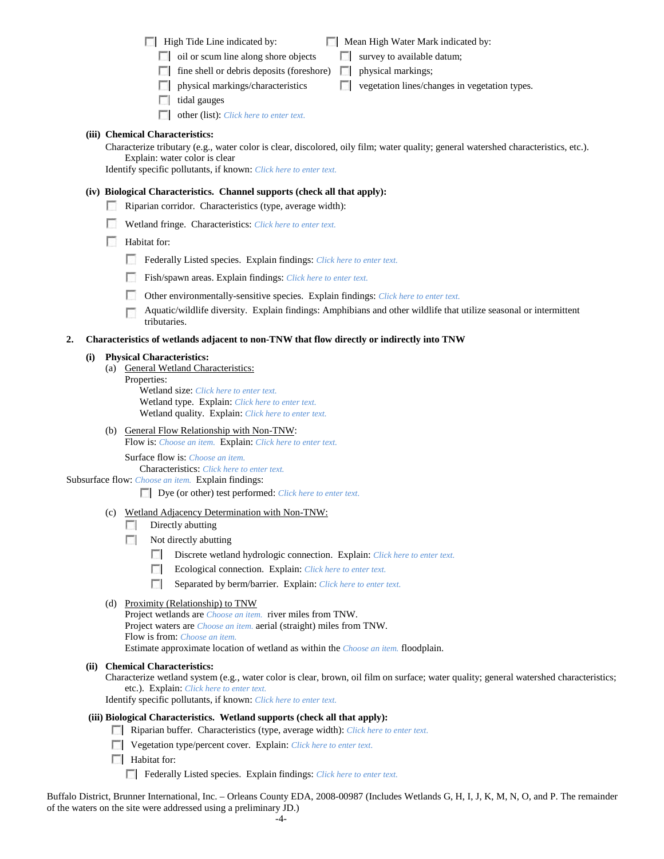|  |  | High Tide Line indicated by: |  |
|--|--|------------------------------|--|
|  |  |                              |  |

| High Tide Line indicated by: | Mean High Water Mark indicated by: |  |
|------------------------------|------------------------------------|--|
|                              |                                    |  |

- oil or scum line along shore objects  $\Box$  survey to available datum;
- $\Box$  fine shell or debris deposits (foreshore)  $\Box$  physical markings;
- $\Box$  physical markings/characteristics  $\Box$  vegetation lines/changes in vegetation types.
- $\Box$  tidal gauges
- other (list): *Click here to enter text.*

# **(iii) Chemical Characteristics:**

Characterize tributary (e.g., water color is clear, discolored, oily film; water quality; general watershed characteristics, etc.). Explain: water color is clear

Identify specific pollutants, if known: *Click here to enter text.*

# **(iv) Biological Characteristics. Channel supports (check all that apply):**

- Riparian corridor. Characteristics (type, average width):
- Wetland fringe. Characteristics: *Click here to enter text.*
- $\Box$  Habitat for:
	- Federally Listed species. Explain findings: *Click here to enter text*.
	- Fish/spawn areas. Explain findings: *Click here to enter text.*
	- Other environmentally-sensitive species. Explain findings: *Click here to enter text.*
	- Aquatic/wildlife diversity. Explain findings: Amphibians and other wildlife that utilize seasonal or intermittent tributaries.

### **2. Characteristics of wetlands adjacent to non-TNW that flow directly or indirectly into TNW**

- **(i) Physical Characteristics:**
	- (a) General Wetland Characteristics:
		- Properties: Wetland size: *Click here to enter text.* Wetland type. Explain: *Click here to enter text.* Wetland quality. Explain: *Click here to enter text.*
	- (b) General Flow Relationship with Non-TNW: Flow is: *Choose an item.* Explain: *Click here to enter text.*

Surface flow is: *Choose an item.*

Characteristics: *Click here to enter text.*

# Subsurface flow: *Choose an item.* Explain findings:

Dye (or other) test performed: *Click here to enter text.*

- (c) Wetland Adjacency Determination with Non-TNW:
	- $\Box$  Directly abutting
	- $\Box$  Not directly abutting
		- Discrete wetland hydrologic connection. Explain: *Click here to enter text.*
		- Ecological connection. Explain: *Click here to enter text.*
		- Separated by berm/barrier. Explain: *Click here to enter text.*
- (d) Proximity (Relationship) to TNW
	- Project wetlands are *Choose an item.* river miles from TNW. Project waters are *Choose an item.* aerial (straight) miles from TNW. Flow is from: *Choose an item.*

Estimate approximate location of wetland as within the *Choose an item.* floodplain.

- **(ii) Chemical Characteristics:**
	- Characterize wetland system (e.g., water color is clear, brown, oil film on surface; water quality; general watershed characteristics; etc.). Explain: *Click here to enter text.*

Identify specific pollutants, if known: *Click here to enter text.*

# **(iii) Biological Characteristics. Wetland supports (check all that apply):**

- Riparian buffer. Characteristics (type, average width): *Click here to enter text.*
- Vegetation type/percent cover. Explain: *Click here to enter text.*
- $\Box$  Habitat for:
	- Federally Listed species. Explain findings: *Click here to enter text*.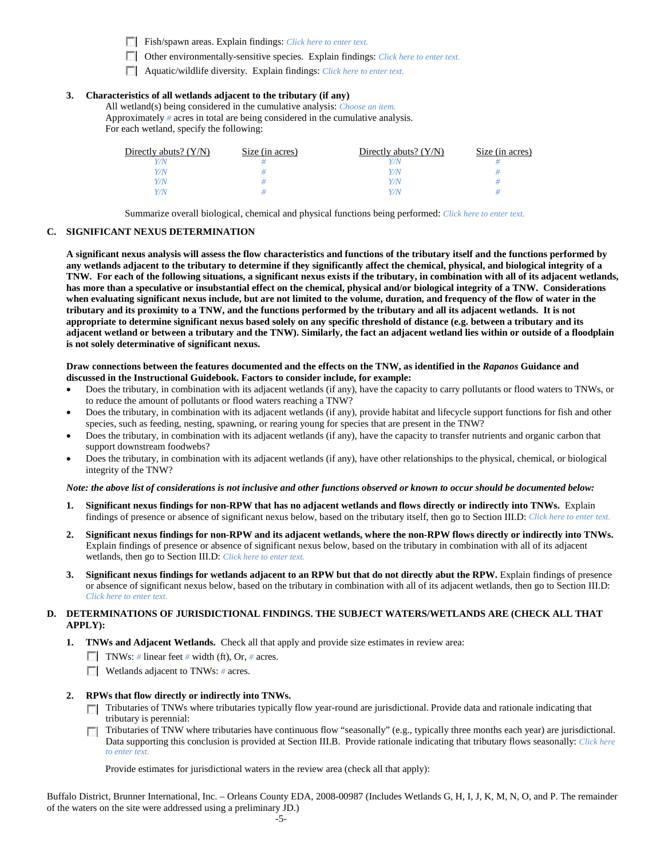- Fish/spawn areas. Explain findings: *Click here to enter text.*
- Other environmentally-sensitive species. Explain findings: *Click here to enter text.*
- Aquatic/wildlife diversity. Explain findings: *Click here to enter text.*

### **3. Characteristics of all wetlands adjacent to the tributary (if any)**

All wetland(s) being considered in the cumulative analysis: *Choose an item.* Approximately *#* acres in total are being considered in the cumulative analysis. For each wetland, specify the following:

| Directly abuts? $(Y/N)$ | Size (in acres) | Directly abuts? $(Y/N)$ | Size (in acres) |
|-------------------------|-----------------|-------------------------|-----------------|
|                         |                 | Y/N                     |                 |
| Y/N                     |                 | Y/N                     |                 |
| Y/N                     |                 | Y/N                     |                 |
|                         |                 | Y/N                     |                 |

Summarize overall biological, chemical and physical functions being performed: *Click here to enter text.*

#### **C. SIGNIFICANT NEXUS DETERMINATION**

**A significant nexus analysis will assess the flow characteristics and functions of the tributary itself and the functions performed by any wetlands adjacent to the tributary to determine if they significantly affect the chemical, physical, and biological integrity of a TNW. For each of the following situations, a significant nexus exists if the tributary, in combination with all of its adjacent wetlands, has more than a speculative or insubstantial effect on the chemical, physical and/or biological integrity of a TNW. Considerations when evaluating significant nexus include, but are not limited to the volume, duration, and frequency of the flow of water in the tributary and its proximity to a TNW, and the functions performed by the tributary and all its adjacent wetlands. It is not appropriate to determine significant nexus based solely on any specific threshold of distance (e.g. between a tributary and its adjacent wetland or between a tributary and the TNW). Similarly, the fact an adjacent wetland lies within or outside of a floodplain is not solely determinative of significant nexus.** 

#### **Draw connections between the features documented and the effects on the TNW, as identified in the** *Rapanos* **Guidance and discussed in the Instructional Guidebook. Factors to consider include, for example:**

- Does the tributary, in combination with its adjacent wetlands (if any), have the capacity to carry pollutants or flood waters to TNWs, or to reduce the amount of pollutants or flood waters reaching a TNW?
- Does the tributary, in combination with its adjacent wetlands (if any), provide habitat and lifecycle support functions for fish and other species, such as feeding, nesting, spawning, or rearing young for species that are present in the TNW?
- Does the tributary, in combination with its adjacent wetlands (if any), have the capacity to transfer nutrients and organic carbon that support downstream foodwebs?
- Does the tributary, in combination with its adjacent wetlands (if any), have other relationships to the physical, chemical, or biological integrity of the TNW?

#### *Note: the above list of considerations is not inclusive and other functions observed or known to occur should be documented below:*

- **1. Significant nexus findings for non-RPW that has no adjacent wetlands and flows directly or indirectly into TNWs.** Explain findings of presence or absence of significant nexus below, based on the tributary itself, then go to Section III.D: *Click here to enter text.*
- **2. Significant nexus findings for non-RPW and its adjacent wetlands, where the non-RPW flows directly or indirectly into TNWs.**  Explain findings of presence or absence of significant nexus below, based on the tributary in combination with all of its adjacent wetlands, then go to Section III.D: *Click here to enter text.*
- **3. Significant nexus findings for wetlands adjacent to an RPW but that do not directly abut the RPW.** Explain findings of presence or absence of significant nexus below, based on the tributary in combination with all of its adjacent wetlands, then go to Section III.D: *Click here to enter text.*

## **D. DETERMINATIONS OF JURISDICTIONAL FINDINGS. THE SUBJECT WATERS/WETLANDS ARE (CHECK ALL THAT APPLY):**

- **1. TNWs and Adjacent Wetlands.** Check all that apply and provide size estimates in review area:
	- TNWs: *#* linear feet *#* width (ft), Or, *#* acres.
	- **Wetlands adjacent to TNWs:** # acres.

### **2. RPWs that flow directly or indirectly into TNWs.**

- Tributaries of TNWs where tributaries typically flow year-round are jurisdictional. Provide data and rationale indicating that tributary is perennial:
- Tributaries of TNW where tributaries have continuous flow "seasonally" (e.g., typically three months each year) are jurisdictional. Data supporting this conclusion is provided at Section III.B. Provide rationale indicating that tributary flows seasonally: *Click here to enter text.*

Provide estimates for jurisdictional waters in the review area (check all that apply):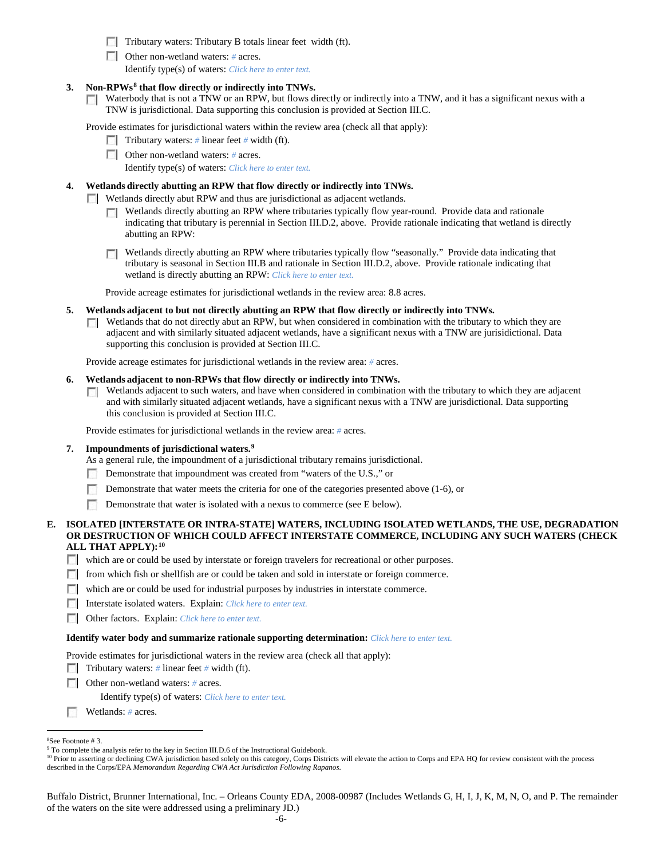$\Box$  Tributary waters: Tributary B totals linear feet width (ft).

Other non-wetland waters: # acres.

Identify type(s) of waters: *Click here to enter text.*

### **3. Non-RPWs[8](#page-5-0) that flow directly or indirectly into TNWs.**

 $\Box$  Waterbody that is not a TNW or an RPW, but flows directly or indirectly into a TNW, and it has a significant nexus with a TNW is jurisdictional. Data supporting this conclusion is provided at Section III.C.

Provide estimates for jurisdictional waters within the review area (check all that apply):

- **Tributary waters:** # linear feet # width (ft).
- Other non-wetland waters: # acres.

Identify type(s) of waters: *Click here to enter text.*

### **4. Wetlands directly abutting an RPW that flow directly or indirectly into TNWs.**

Wetlands directly abut RPW and thus are jurisdictional as adjacent wetlands.

- Wetlands directly abutting an RPW where tributaries typically flow year-round. Provide data and rationale  $\Box$ indicating that tributary is perennial in Section III.D.2, above. Provide rationale indicating that wetland is directly abutting an RPW:
- Wetlands directly abutting an RPW where tributaries typically flow "seasonally." Provide data indicating that tributary is seasonal in Section III.B and rationale in Section III.D.2, above. Provide rationale indicating that wetland is directly abutting an RPW: *Click here to enter text.*

Provide acreage estimates for jurisdictional wetlands in the review area: 8.8 acres.

### **5. Wetlands adjacent to but not directly abutting an RPW that flow directly or indirectly into TNWs.**

 $\Box$  Wetlands that do not directly abut an RPW, but when considered in combination with the tributary to which they are adjacent and with similarly situated adjacent wetlands, have a significant nexus with a TNW are jurisidictional. Data supporting this conclusion is provided at Section III.C.

Provide acreage estimates for jurisdictional wetlands in the review area: *#* acres.

- **6. Wetlands adjacent to non-RPWs that flow directly or indirectly into TNWs.** 
	- Wetlands adjacent to such waters, and have when considered in combination with the tributary to which they are adjacent **TT** and with similarly situated adjacent wetlands, have a significant nexus with a TNW are jurisdictional. Data supporting this conclusion is provided at Section III.C.

Provide estimates for jurisdictional wetlands in the review area: *#* acres.

### **7. Impoundments of jurisdictional waters. [9](#page-5-1)**

- As a general rule, the impoundment of a jurisdictional tributary remains jurisdictional.
- Demonstrate that impoundment was created from "waters of the U.S.," or
- Demonstrate that water meets the criteria for one of the categories presented above (1-6), or
- m. Demonstrate that water is isolated with a nexus to commerce (see E below).

#### **E. ISOLATED [INTERSTATE OR INTRA-STATE] WATERS, INCLUDING ISOLATED WETLANDS, THE USE, DEGRADATION OR DESTRUCTION OF WHICH COULD AFFECT INTERSTATE COMMERCE, INCLUDING ANY SUCH WATERS (CHECK ALL THAT APPLY):[10](#page-5-2)**

- which are or could be used by interstate or foreign travelers for recreational or other purposes.
- from which fish or shellfish are or could be taken and sold in interstate or foreign commerce.
- $\Box$  which are or could be used for industrial purposes by industries in interstate commerce.
- Interstate isolated waters.Explain: *Click here to enter text.*
- Other factors.Explain: *Click here to enter text.*

#### **Identify water body and summarize rationale supporting determination:** *Click here to enter text.*

Provide estimates for jurisdictional waters in the review area (check all that apply):

- Tributary waters: # linear feet # width (ft).
- Other non-wetland waters: *#* acres.
	- Identify type(s) of waters: *Click here to enter text.*
- **Wetlands:** # acres.

 $\frac{1}{8}$ See Footnote # 3.

<span id="page-5-1"></span><span id="page-5-0"></span><sup>&</sup>lt;sup>9</sup> To complete the analysis refer to the key in Section III.D.6 of the Instructional Guidebook.

<span id="page-5-2"></span><sup>&</sup>lt;sup>10</sup> Prior to asserting or declining CWA jurisdiction based solely on this category, Corps Districts will elevate the action to Corps and EPA HQ for review consistent with the process described in the Corps/EPA *Memorandum Regarding CWA Act Jurisdiction Following Rapanos.*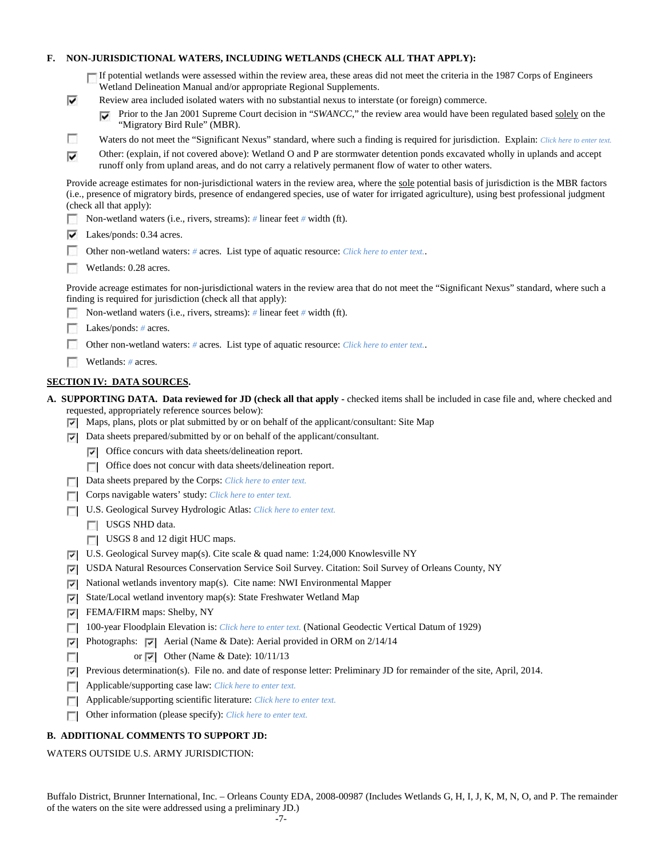### **F. NON-JURISDICTIONAL WATERS, INCLUDING WETLANDS (CHECK ALL THAT APPLY):**

- If potential wetlands were assessed within the review area, these areas did not meet the criteria in the 1987 Corps of Engineers Wetland Delineation Manual and/or appropriate Regional Supplements.
- Review area included isolated waters with no substantial nexus to interstate (or foreign) commerce.
	- Prior to the Jan 2001 Supreme Court decision in "*SWANCC*," the review area would have been regulated based solely on the ⊽ "Migratory Bird Rule" (MBR).
- г Waters do not meet the "Significant Nexus" standard, where such a finding is required for jurisdiction. Explain: Click here to enter text.
- Other: (explain, if not covered above): Wetland O and P are stormwater detention ponds excavated wholly in uplands and accept ⊽ runoff only from upland areas, and do not carry a relatively permanent flow of water to other waters.

Provide acreage estimates for non-jurisdictional waters in the review area, where the sole potential basis of jurisdiction is the MBR factors (i.e., presence of migratory birds, presence of endangered species, use of water for irrigated agriculture), using best professional judgment (check all that apply):

- Non-wetland waters (i.e., rivers, streams): *#* linear feet *#* width (ft).
- $\blacktriangleright$  Lakes/ponds: 0.34 acres.

 $\overline{\mathbf{v}}$ 

- $\sim$ Other non-wetland waters: *#* acres. List type of aquatic resource: *Click here to enter text.*.
- Wetlands: 0.28 acres.

Provide acreage estimates for non-jurisdictional waters in the review area that do not meet the "Significant Nexus" standard, where such a finding is required for jurisdiction (check all that apply):

- Non-wetland waters (i.e., rivers, streams): *#* linear feet *#* width (ft).
- Lakes/ponds: # acres.
- Other non-wetland waters: *#* acres. List type of aquatic resource: *Click here to enter text.*.
- Wetlands: # acres.

#### **SECTION IV: DATA SOURCES.**

**A. SUPPORTING DATA. Data reviewed for JD (check all that apply -** checked items shall be included in case file and, where checked and requested, appropriately reference sources below):

- Maps, plans, plots or plat submitted by or on behalf of the applicant/consultant: Site Map
- Data sheets prepared/submitted by or on behalf of the applicant/consultant.
	- $\nabla$  Office concurs with data sheets/delineation report.
	- Office does not concur with data sheets/delineation report.
- Data sheets prepared by the Corps: *Click here to enter text.*
- **Corps navigable waters' study:** *Click here to enter text.*
- U.S. Geological Survey Hydrologic Atlas: *Click here to enter text.*
	- USGS NHD data.
	- USGS 8 and 12 digit HUC maps.
- U.S. Geological Survey map(s). Cite scale & quad name: 1:24,000 Knowlesville NY
- USDA Natural Resources Conservation Service Soil Survey. Citation: Soil Survey of Orleans County, NY
- $\nabla$  National wetlands inventory map(s). Cite name: NWI Environmental Mapper
- $\triangledown$  State/Local wetland inventory map(s): State Freshwater Wetland Map
- $\overline{\phantom{a}}$ FEMA/FIRM maps: Shelby, NY

 $\Box$ 

- 100-year Floodplain Elevation is: *Click here to enter text.* (National Geodectic Vertical Datum of 1929)
- **Photographs:**  $\triangledown$  Aerial (Name & Date): Aerial provided in ORM on 2/14/14
	- or  $\overline{\triangledown}$  Other (Name & Date): 10/11/13
- **Previous determination(s).** File no. and date of response letter: Preliminary JD for remainder of the site, April, 2014.
- Applicable/supporting case law: *Click here to enter text.*  $\Box$
- Applicable/supporting scientific literature: *Click here to enter text.* п
- Other information (please specify): *Click here to enter text.*  $\Box$

### **B. ADDITIONAL COMMENTS TO SUPPORT JD:**

WATERS OUTSIDE U.S. ARMY JURISDICTION: